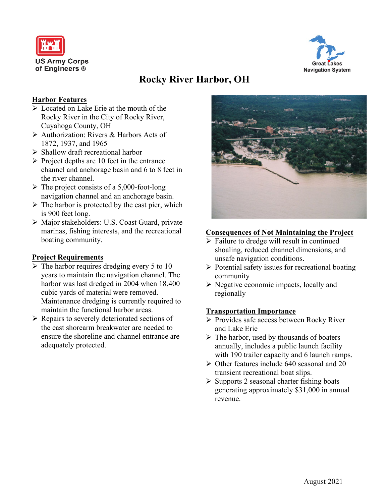



# **Rocky River Harbor, OH**

## **Harbor Features**

- Located on Lake Erie at the mouth of the Rocky River in the City of Rocky River, Cuyahoga County, OH
- Authorization: Rivers & Harbors Acts of 1872, 1937, and 1965
- $\triangleright$  Shallow draft recreational harbor
- $\triangleright$  Project depths are 10 feet in the entrance channel and anchorage basin and 6 to 8 feet in the river channel.
- $\triangleright$  The project consists of a 5,000-foot-long navigation channel and an anchorage basin.
- $\triangleright$  The harbor is protected by the east pier, which is 900 feet long.
- Major stakeholders: U.S. Coast Guard, private marinas, fishing interests, and the recreational boating community.

### **Project Requirements**

- $\triangleright$  The harbor requires dredging every 5 to 10 years to maintain the navigation channel. The harbor was last dredged in 2004 when 18,400 cubic yards of material were removed. Maintenance dredging is currently required to maintain the functional harbor areas.
- $\triangleright$  Repairs to severely deteriorated sections of the east shorearm breakwater are needed to ensure the shoreline and channel entrance are adequately protected.



# **Consequences of Not Maintaining the Project**

- $\triangleright$  Failure to dredge will result in continued shoaling, reduced channel dimensions, and unsafe navigation conditions.
- $\triangleright$  Potential safety issues for recreational boating community
- $\triangleright$  Negative economic impacts, locally and regionally

### **Transportation Importance**

- Provides safe access between Rocky River and Lake Erie
- $\triangleright$  The harbor, used by thousands of boaters annually, includes a public launch facility with 190 trailer capacity and 6 launch ramps.
- $\triangleright$  Other features include 640 seasonal and 20 transient recreational boat slips.
- $\triangleright$  Supports 2 seasonal charter fishing boats generating approximately \$31,000 in annual revenue.